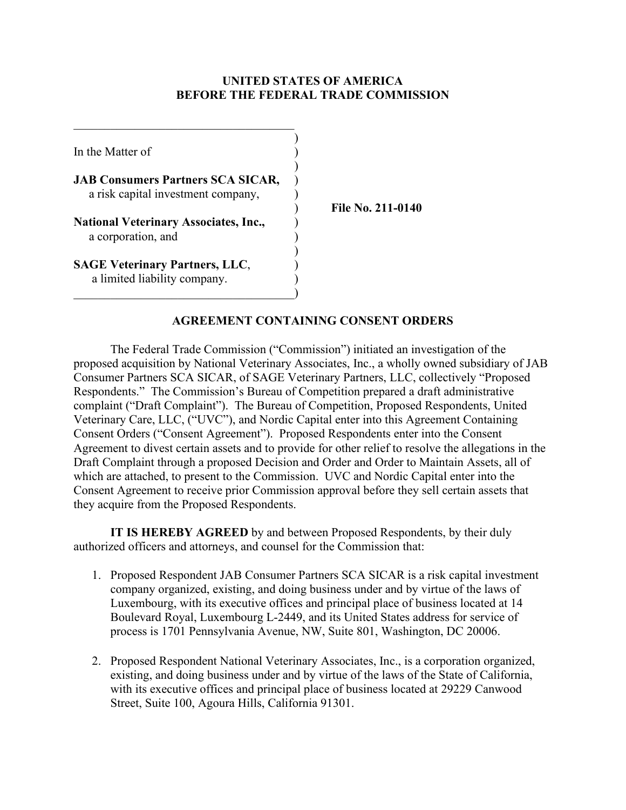### **UNITED STATES OF AMERICA BEFORE THE FEDERAL TRADE COMMISSION**

| In the Matter of                                                               |  |
|--------------------------------------------------------------------------------|--|
| <b>JAB Consumers Partners SCA SICAR,</b><br>a risk capital investment company, |  |
| <b>National Veterinary Associates, Inc.,</b><br>a corporation, and             |  |
| <b>SAGE Veterinary Partners, LLC,</b><br>a limited liability company.          |  |

) **File No. 211-0140**

## **AGREEMENT CONTAINING CONSENT ORDERS**

The Federal Trade Commission ("Commission") initiated an investigation of the proposed acquisition by National Veterinary Associates, Inc., a wholly owned subsidiary of JAB Consumer Partners SCA SICAR, of SAGE Veterinary Partners, LLC, collectively "Proposed Respondents." The Commission's Bureau of Competition prepared a draft administrative complaint ("Draft Complaint"). The Bureau of Competition, Proposed Respondents, United Veterinary Care, LLC, ("UVC"), and Nordic Capital enter into this Agreement Containing Consent Orders ("Consent Agreement"). Proposed Respondents enter into the Consent Agreement to divest certain assets and to provide for other relief to resolve the allegations in the Draft Complaint through a proposed Decision and Order and Order to Maintain Assets, all of which are attached, to present to the Commission. UVC and Nordic Capital enter into the Consent Agreement to receive prior Commission approval before they sell certain assets that they acquire from the Proposed Respondents.

**IT IS HEREBY AGREED** by and between Proposed Respondents, by their duly authorized officers and attorneys, and counsel for the Commission that:

- 1. Proposed Respondent JAB Consumer Partners SCA SICAR is a risk capital investment company organized, existing, and doing business under and by virtue of the laws of Luxembourg, with its executive offices and principal place of business located at 14 Boulevard Royal, Luxembourg L-2449, and its United States address for service of process is 1701 Pennsylvania Avenue, NW, Suite 801, Washington, DC 20006.
- 2. Proposed Respondent National Veterinary Associates, Inc., is a corporation organized, existing, and doing business under and by virtue of the laws of the State of California, with its executive offices and principal place of business located at 29229 Canwood Street, Suite 100, Agoura Hills, California 91301.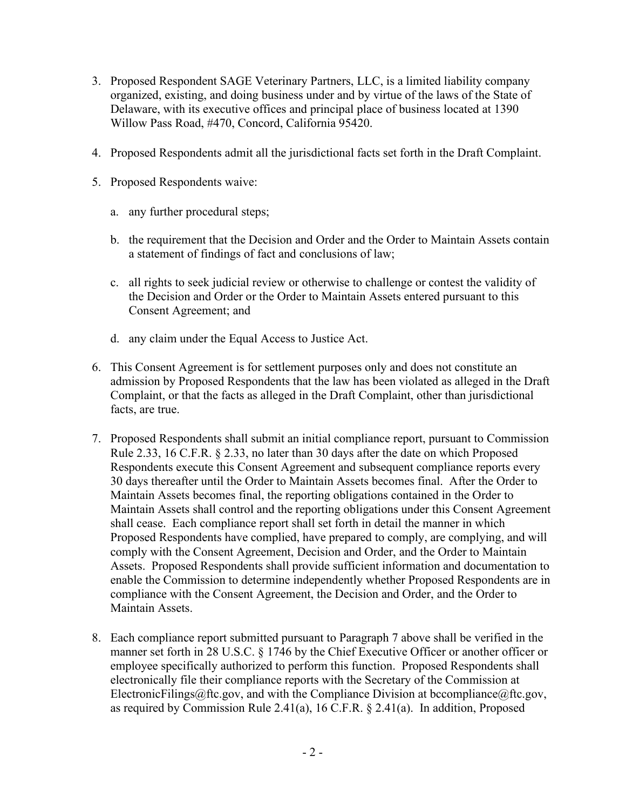- 3. Proposed Respondent SAGE Veterinary Partners, LLC, is a limited liability company organized, existing, and doing business under and by virtue of the laws of the State of Delaware, with its executive offices and principal place of business located at 1390 Willow Pass Road, #470, Concord, California 95420.
- 4. Proposed Respondents admit all the jurisdictional facts set forth in the Draft Complaint.
- 5. Proposed Respondents waive:
	- a. any further procedural steps;
	- b. the requirement that the Decision and Order and the Order to Maintain Assets contain a statement of findings of fact and conclusions of law;
	- c. all rights to seek judicial review or otherwise to challenge or contest the validity of the Decision and Order or the Order to Maintain Assets entered pursuant to this Consent Agreement; and
	- d. any claim under the Equal Access to Justice Act.
- 6. This Consent Agreement is for settlement purposes only and does not constitute an admission by Proposed Respondents that the law has been violated as alleged in the Draft Complaint, or that the facts as alleged in the Draft Complaint, other than jurisdictional facts, are true.
- 7. Proposed Respondents shall submit an initial compliance report, pursuant to Commission Rule 2.33, 16 C.F.R. § 2.33, no later than 30 days after the date on which Proposed Respondents execute this Consent Agreement and subsequent compliance reports every 30 days thereafter until the Order to Maintain Assets becomes final. After the Order to Maintain Assets becomes final, the reporting obligations contained in the Order to Maintain Assets shall control and the reporting obligations under this Consent Agreement shall cease. Each compliance report shall set forth in detail the manner in which Proposed Respondents have complied, have prepared to comply, are complying, and will comply with the Consent Agreement, Decision and Order, and the Order to Maintain Assets. Proposed Respondents shall provide sufficient information and documentation to enable the Commission to determine independently whether Proposed Respondents are in compliance with the Consent Agreement, the Decision and Order, and the Order to Maintain Assets.
- 8. Each compliance report submitted pursuant to Paragraph 7 above shall be verified in the manner set forth in 28 U.S.C. § 1746 by the Chief Executive Officer or another officer or employee specifically authorized to perform this function. Proposed Respondents shall electronically file their compliance reports with the Secretary of the Commission at ElectronicFilings@ftc.gov, and with the Compliance Division at bccompliance@ftc.gov, as required by Commission Rule 2.41(a), 16 C.F.R. § 2.41(a). In addition, Proposed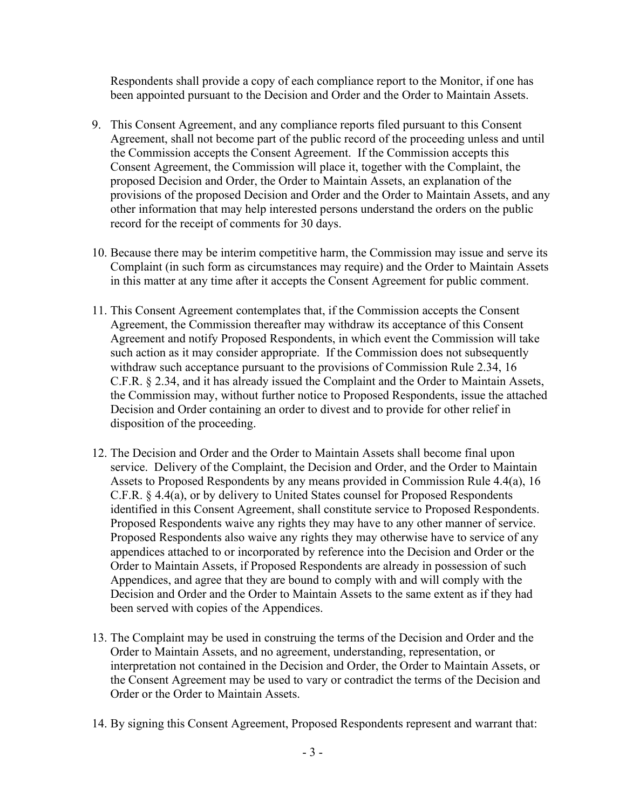Respondents shall provide a copy of each compliance report to the Monitor, if one has been appointed pursuant to the Decision and Order and the Order to Maintain Assets.

- 9. This Consent Agreement, and any compliance reports filed pursuant to this Consent Agreement, shall not become part of the public record of the proceeding unless and until the Commission accepts the Consent Agreement. If the Commission accepts this Consent Agreement, the Commission will place it, together with the Complaint, the proposed Decision and Order, the Order to Maintain Assets, an explanation of the provisions of the proposed Decision and Order and the Order to Maintain Assets, and any other information that may help interested persons understand the orders on the public record for the receipt of comments for 30 days.
- 10. Because there may be interim competitive harm, the Commission may issue and serve its Complaint (in such form as circumstances may require) and the Order to Maintain Assets in this matter at any time after it accepts the Consent Agreement for public comment.
- 11. This Consent Agreement contemplates that, if the Commission accepts the Consent Agreement, the Commission thereafter may withdraw its acceptance of this Consent Agreement and notify Proposed Respondents, in which event the Commission will take such action as it may consider appropriate. If the Commission does not subsequently withdraw such acceptance pursuant to the provisions of Commission Rule 2.34, 16 C.F.R. § 2.34, and it has already issued the Complaint and the Order to Maintain Assets, the Commission may, without further notice to Proposed Respondents, issue the attached Decision and Order containing an order to divest and to provide for other relief in disposition of the proceeding.
- 12. The Decision and Order and the Order to Maintain Assets shall become final upon service. Delivery of the Complaint, the Decision and Order, and the Order to Maintain Assets to Proposed Respondents by any means provided in Commission Rule 4.4(a), 16 C.F.R. § 4.4(a), or by delivery to United States counsel for Proposed Respondents identified in this Consent Agreement, shall constitute service to Proposed Respondents. Proposed Respondents waive any rights they may have to any other manner of service. Proposed Respondents also waive any rights they may otherwise have to service of any appendices attached to or incorporated by reference into the Decision and Order or the Order to Maintain Assets, if Proposed Respondents are already in possession of such Appendices, and agree that they are bound to comply with and will comply with the Decision and Order and the Order to Maintain Assets to the same extent as if they had been served with copies of the Appendices.
- 13. The Complaint may be used in construing the terms of the Decision and Order and the Order to Maintain Assets, and no agreement, understanding, representation, or interpretation not contained in the Decision and Order, the Order to Maintain Assets, or the Consent Agreement may be used to vary or contradict the terms of the Decision and Order or the Order to Maintain Assets.
- 14. By signing this Consent Agreement, Proposed Respondents represent and warrant that: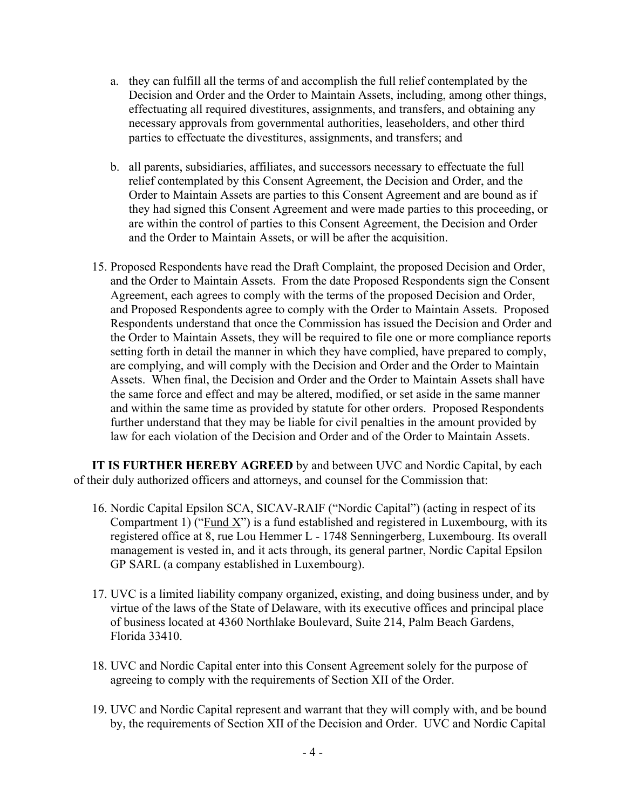- a. they can fulfill all the terms of and accomplish the full relief contemplated by the Decision and Order and the Order to Maintain Assets, including, among other things, effectuating all required divestitures, assignments, and transfers, and obtaining any necessary approvals from governmental authorities, leaseholders, and other third parties to effectuate the divestitures, assignments, and transfers; and
- b. all parents, subsidiaries, affiliates, and successors necessary to effectuate the full relief contemplated by this Consent Agreement, the Decision and Order, and the Order to Maintain Assets are parties to this Consent Agreement and are bound as if they had signed this Consent Agreement and were made parties to this proceeding, or are within the control of parties to this Consent Agreement, the Decision and Order and the Order to Maintain Assets, or will be after the acquisition.
- 15. Proposed Respondents have read the Draft Complaint, the proposed Decision and Order, and the Order to Maintain Assets. From the date Proposed Respondents sign the Consent Agreement, each agrees to comply with the terms of the proposed Decision and Order, and Proposed Respondents agree to comply with the Order to Maintain Assets. Proposed Respondents understand that once the Commission has issued the Decision and Order and the Order to Maintain Assets, they will be required to file one or more compliance reports setting forth in detail the manner in which they have complied, have prepared to comply, are complying, and will comply with the Decision and Order and the Order to Maintain Assets. When final, the Decision and Order and the Order to Maintain Assets shall have the same force and effect and may be altered, modified, or set aside in the same manner and within the same time as provided by statute for other orders. Proposed Respondents further understand that they may be liable for civil penalties in the amount provided by law for each violation of the Decision and Order and of the Order to Maintain Assets.

**IT IS FURTHER HEREBY AGREED** by and between UVC and Nordic Capital, by each of their duly authorized officers and attorneys, and counsel for the Commission that:

- 16. Nordic Capital Epsilon SCA, SICAV-RAIF ("Nordic Capital") (acting in respect of its Compartment 1) ("Fund X") is a fund established and registered in Luxembourg, with its registered office at 8, rue Lou Hemmer L - 1748 Senningerberg, Luxembourg. Its overall management is vested in, and it acts through, its general partner, Nordic Capital Epsilon GP SARL (a company established in Luxembourg).
- 17. UVC is a limited liability company organized, existing, and doing business under, and by virtue of the laws of the State of Delaware, with its executive offices and principal place of business located at 4360 Northlake Boulevard, Suite 214, Palm Beach Gardens, Florida 33410.
- 18. UVC and Nordic Capital enter into this Consent Agreement solely for the purpose of agreeing to comply with the requirements of Section XII of the Order.
- 19. UVC and Nordic Capital represent and warrant that they will comply with, and be bound by, the requirements of Section XII of the Decision and Order. UVC and Nordic Capital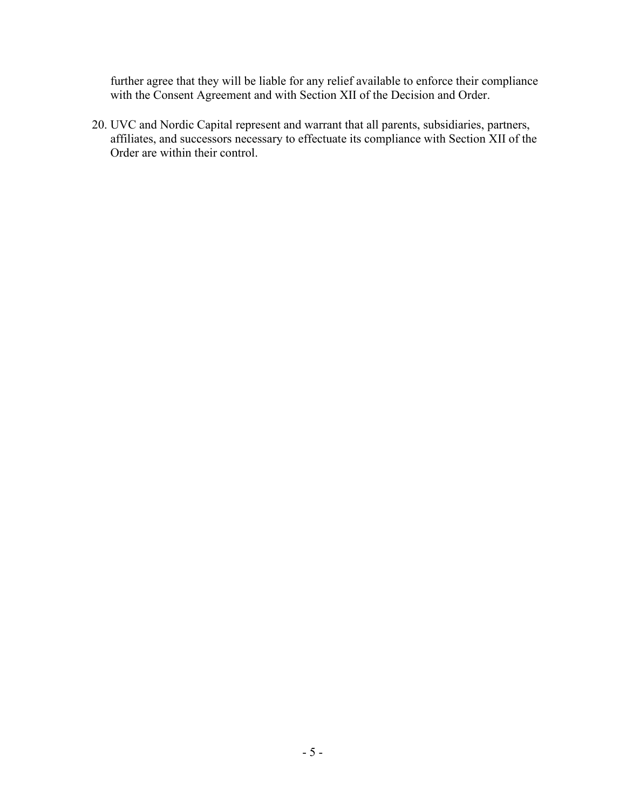further agree that they will be liable for any relief available to enforce their compliance with the Consent Agreement and with Section XII of the Decision and Order.

20. UVC and Nordic Capital represent and warrant that all parents, subsidiaries, partners, affiliates, and successors necessary to effectuate its compliance with Section XII of the Order are within their control.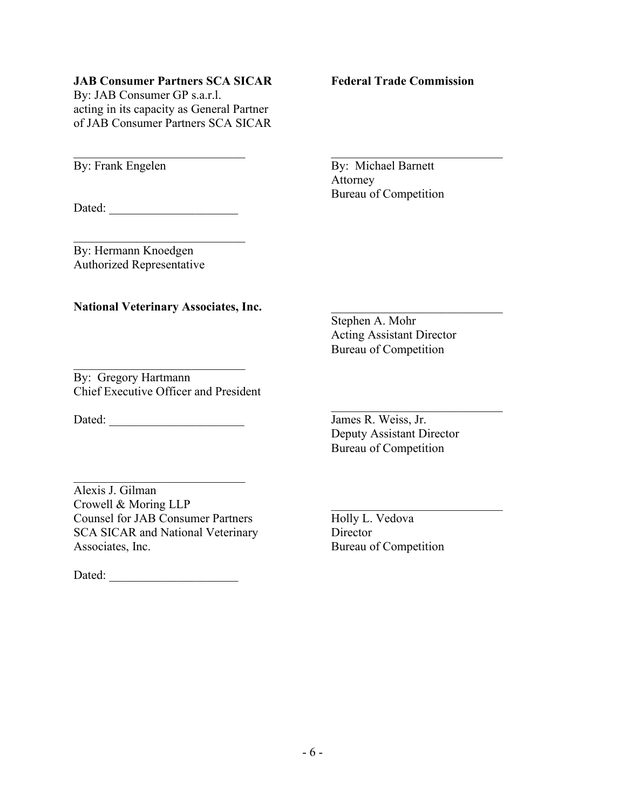### **JAB Consumer Partners SCA SICAR Federal Trade Commission**

By: JAB Consumer GP s.a.r.l. acting in its capacity as General Partner of JAB Consumer Partners SCA SICAR

Dated:

 $\mathcal{L}_\text{max}$  , where  $\mathcal{L}_\text{max}$  and  $\mathcal{L}_\text{max}$ By: Hermann Knoedgen Authorized Representative

#### National Veterinary Associates, Inc.

Stephen A. Mohr Acting Assistant Director Bureau of Competition

By: Gregory Hartmann Chief Executive Officer and President

 $\mathcal{L}_\mathcal{L}$  , which is a set of the set of the set of the set of the set of the set of the set of the set of the set of the set of the set of the set of the set of the set of the set of the set of the set of the set of

Dated: \_\_\_\_\_\_\_\_\_\_\_\_\_\_\_\_\_\_\_\_\_\_ James R. Weiss, Jr.

Deputy Assistant Director Bureau of Competition

 $\mathcal{L}_\mathcal{L}$  , which is a set of the set of the set of the set of the set of the set of the set of the set of the set of the set of the set of the set of the set of the set of the set of the set of the set of the set of

Alexis J. Gilman Crowell & Moring LLP<br>
Counsel for JAB Consumer Partners<br>
Holly L. Vedova Counsel for JAB Consumer Partners SCA SICAR and National Veterinary Director Associates, Inc. **Bureau of Competition** 

 $\mathcal{L}_\mathcal{L}$  , which is a set of the set of the set of the set of the set of the set of the set of the set of the set of the set of the set of the set of the set of the set of the set of the set of the set of the set of

Dated:

\_\_\_\_\_\_\_\_\_\_\_\_\_\_\_\_\_\_\_\_\_\_\_\_\_\_\_\_ \_\_\_\_\_\_\_\_\_\_\_\_\_\_\_\_\_\_\_\_\_\_\_\_\_\_\_\_ By: Frank Engelen By: Michael Barnett Attorney Bureau of Competition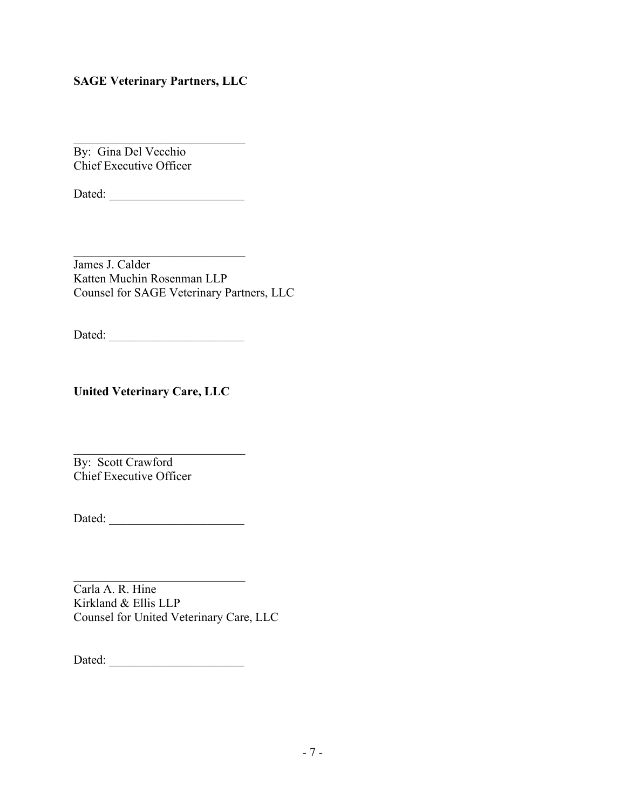# **SAGE Veterinary Partners, LLC**

 $\mathcal{L}_\mathcal{L}$  , which is a set of the set of the set of the set of the set of the set of the set of the set of the set of the set of the set of the set of the set of the set of the set of the set of the set of the set of By: Gina Del Vecchio Chief Executive Officer

Dated: \_\_\_\_\_\_\_\_\_\_\_\_\_\_\_\_\_\_\_\_\_\_

 $\overline{\phantom{a}}$  , where  $\overline{\phantom{a}}$ James J. Calder Katten Muchin Rosenman LLP Counsel for SAGE Veterinary Partners, LLC

Dated: \_\_\_\_\_\_\_\_\_\_\_\_\_\_\_\_\_\_\_\_\_\_

**United Veterinary Care, LLC**

 $\mathcal{L}=\mathcal{L}=\mathcal{L}=\mathcal{L}=\mathcal{L}=\mathcal{L}=\mathcal{L}=\mathcal{L}=\mathcal{L}=\mathcal{L}=\mathcal{L}=\mathcal{L}=\mathcal{L}=\mathcal{L}=\mathcal{L}=\mathcal{L}=\mathcal{L}=\mathcal{L}=\mathcal{L}=\mathcal{L}=\mathcal{L}=\mathcal{L}=\mathcal{L}=\mathcal{L}=\mathcal{L}=\mathcal{L}=\mathcal{L}=\mathcal{L}=\mathcal{L}=\mathcal{L}=\mathcal{L}=\mathcal{L}=\mathcal{L}=\mathcal{L}=\mathcal{L}=\mathcal{L}=\mathcal{$ By: Scott Crawford Chief Executive Officer

Dated: \_\_\_\_\_\_\_\_\_\_\_\_\_\_\_\_\_\_\_\_\_\_

 $\mathcal{L}_\mathcal{L}$  , which is a set of the set of the set of the set of the set of the set of the set of the set of the set of the set of the set of the set of the set of the set of the set of the set of the set of the set of Carla A. R. Hine Kirkland & Ellis LLP Counsel for United Veterinary Care, LLC

Dated: \_\_\_\_\_\_\_\_\_\_\_\_\_\_\_\_\_\_\_\_\_\_